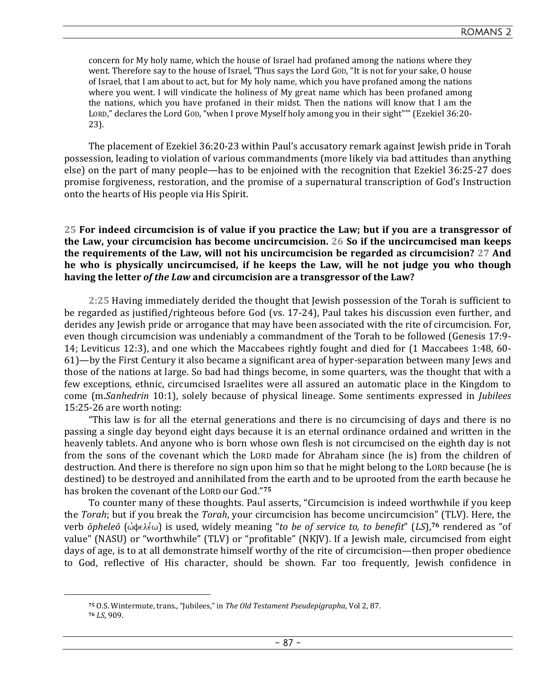concern for My holy name, which the house of Israel had profaned among the nations where they went. Therefore say to the house of Israel, 'Thus says the Lord GOD, "It is not for your sake, O house of Israel, that I am about to act, but for My holy name, which you have profaned among the nations where you went. I will vindicate the holiness of My great name which has been profaned among the nations, which you have profaned in their midst. Then the nations will know that I am the LORD," declares the Lord GOD, "when I prove Myself holy among you in their sight"'" (Ezekiel 36:20- 23).

The placement of Ezekiel 36:20-23 within Paul's accusatory remark against Jewish pride in Torah possession, leading to violation of various commandments (more likely via bad attitudes than anything else) on the part of many people—has to be enjoined with the recognition that Ezekiel 36:25-27 does promise forgiveness, restoration, and the promise of a supernatural transcription of God's Instruction onto the hearts of His people via His Spirit.

## **25 For indeed circumcision is of value if you practice the Law; but if you are a transgressor of the Law, your circumcision has become uncircumcision. 26 So if the uncircumcised man keeps the requirements of the Law, will not his uncircumcision be regarded as circumcision? 27 And he who is physically uncircumcised, if he keeps the Law, will he not judge you who though having the letter** *of the Law* **and circumcision are a transgressor of the Law?**

**2:25** Having immediately derided the thought that Jewish possession of the Torah is sufficient to be regarded as justified/righteous before God (vs. 17-24), Paul takes his discussion even further, and derides any Jewish pride or arrogance that may have been associated with the rite of circumcision. For, even though circumcision was undeniably a commandment of the Torah to be followed (Genesis 17:9- 14; Leviticus 12:3), and one which the Maccabees rightly fought and died for (1 Maccabees 1:48, 60- 61)—by the First Century it also became a significant area of hyper-separation between many Jews and those of the nations at large. So bad had things become, in some quarters, was the thought that with a few exceptions, ethnic, circumcised Israelites were all assured an automatic place in the Kingdom to come (m.*Sanhedrin* 10:1), solely because of physical lineage. Some sentiments expressed in *Jubilees* 15:25-26 are worth noting:

"This law is for all the eternal generations and there is no circumcising of days and there is no passing a single day beyond eight days because it is an eternal ordinance ordained and written in the heavenly tablets. And anyone who is born whose own flesh is not circumcised on the eighth day is not from the sons of the covenant which the LORD made for Abraham since (he is) from the children of destruction. And there is therefore no sign upon him so that he might belong to the LORD because (he is destined) to be destroyed and annihilated from the earth and to be uprooted from the earth because he has broken the covenant of the LORD our God."**<sup>75</sup>**

To counter many of these thoughts. Paul asserts, "Circumcision is indeed worthwhile if you keep the *Torah*; but if you break the *Torah*, your circumcision has become uncircumcision" (TLV). Here, the verb *ōpheleō* (ώφελέω) is used, widely meaning "to be of service to, to benefit" (LS),<sup>76</sup> rendered as "of value" (NASU) or "worthwhile" (TLV) or "profitable" (NKJV). If a Jewish male, circumcised from eight days of age, is to at all demonstrate himself worthy of the rite of circumcision—then proper obedience to God, reflective of His character, should be shown. Far too frequently, Jewish confidence in

**<sup>75</sup>** O.S. Wintermute, trans., "Jubilees," in *The Old Testament Pseudepigrapha*, Vol 2, 87.

**<sup>76</sup>** *LS*, 909.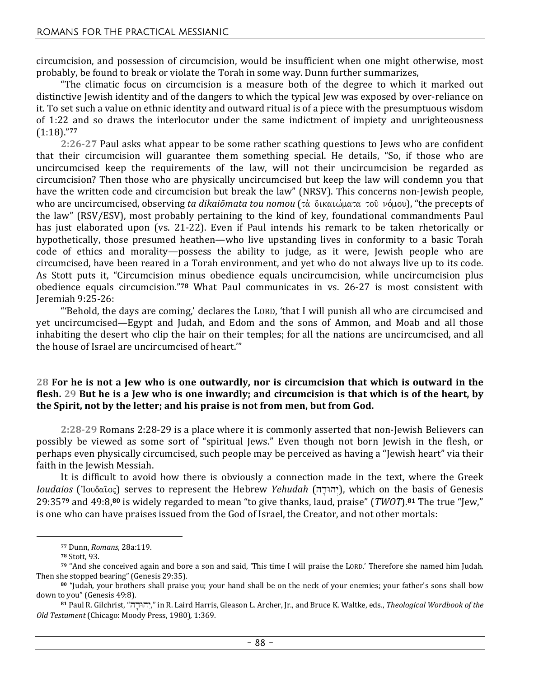## ROMANS FOR THE PRACTICAL MESSIANIC

circumcision, and possession of circumcision, would be insufficient when one might otherwise, most probably, be found to break or violate the Torah in some way. Dunn further summarizes,

"The climatic focus on circumcision is a measure both of the degree to which it marked out distinctive Jewish identity and of the dangers to which the typical Jew was exposed by over-reliance on it. To set such a value on ethnic identity and outward ritual is of a piece with the presumptuous wisdom of 1:22 and so draws the interlocutor under the same indictment of impiety and unrighteousness (1:18)."**<sup>77</sup>**

**2:26-27** Paul asks what appear to be some rather scathing questions to Jews who are confident that their circumcision will guarantee them something special. He details, "So, if those who are uncircumcised keep the requirements of the law, will not their uncircumcision be regarded as circumcision? Then those who are physically uncircumcised but keep the law will condemn you that have the written code and circumcision but break the law" (NRSV). This concerns non-Jewish people, who are uncircumcised, observing *ta dikaiōmata tou nomou* (τὰ δικαιώματα τοῦ νόμου), "the precepts of the law" (RSV/ESV), most probably pertaining to the kind of key, foundational commandments Paul has just elaborated upon (vs. 21-22). Even if Paul intends his remark to be taken rhetorically or hypothetically, those presumed heathen—who live upstanding lives in conformity to a basic Torah code of ethics and morality—possess the ability to judge, as it were, Jewish people who are circumcised, have been reared in a Torah environment, and yet who do not always live up to its code. As Stott puts it, "Circumcision minus obedience equals uncircumcision, while uncircumcision plus obedience equals circumcision."**78** What Paul communicates in vs. 26-27 is most consistent with Jeremiah 9:25-26:

"'Behold, the days are coming,' declares the LORD, 'that I will punish all who are circumcised and yet uncircumcised—Egypt and Judah, and Edom and the sons of Ammon, and Moab and all those inhabiting the desert who clip the hair on their temples; for all the nations are uncircumcised, and all the house of Israel are uncircumcised of heart.'"

## **28 For he is not a Jew who is one outwardly, nor is circumcision that which is outward in the flesh. 29 But he is a Jew who is one inwardly; and circumcision is that which is of the heart, by the Spirit, not by the letter; and his praise is not from men, but from God.**

**2:28-29** Romans 2:28-29 is a place where it is commonly asserted that non-Jewish Believers can possibly be viewed as some sort of "spiritual Jews." Even though not born Jewish in the flesh, or perhaps even physically circumcised, such people may be perceived as having a "Jewish heart" via their faith in the Jewish Messiah.

It is difficult to avoid how there is obviously a connection made in the text, where the Greek *Ioudaios* ('Ιουδαῖος) serves to represent the Hebrew *Yehudah* (יהודה), which on the basis of Genesis 29:35**79** and 49:8,**80** is widely regarded to mean "to give thanks, laud, praise" (*TWOT*).**81** The true "Jew," is one who can have praises issued from the God of Israel, the Creator, and not other mortals:

**<sup>77</sup>** Dunn, *Romans*, 28a:119.

**<sup>78</sup>** Stott, 93.

**<sup>79</sup>** "And she conceived again and bore a son and said, 'This time I will praise the LORD.' Therefore she named him Judah. Then she stopped bearing" (Genesis 29:35).

**<sup>80</sup>** "Judah, your brothers shall praise you; your hand shall be on the neck of your enemies; your father's sons shall bow down to you" (Genesis 49:8).

**<sup>81</sup>** Paul R. Gilchrist, "hd'Why >," in R. Laird Harris, Gleason L. Archer, Jr., and Bruce K. Waltke, eds., *Theological Wordbook of the Old Testament* (Chicago: Moody Press, 1980), 1:369.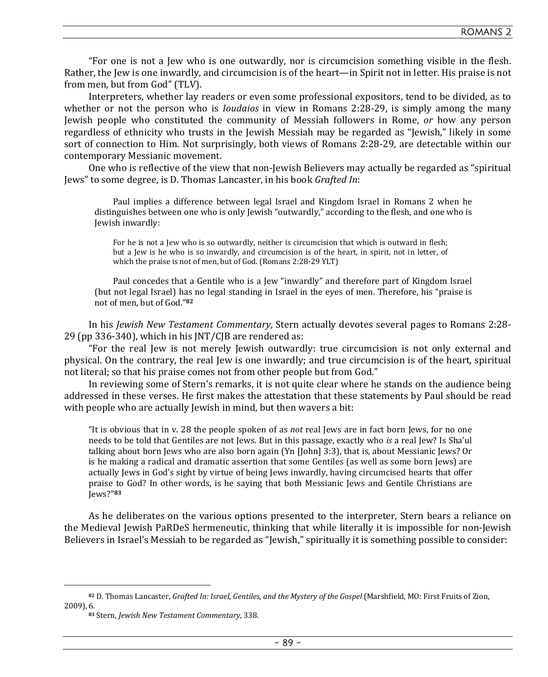"For one is not a Jew who is one outwardly, nor is circumcision something visible in the flesh. Rather, the Jew is one inwardly, and circumcision is of the heart—in Spirit not in letter. His praise is not from men, but from God" (TLV).

Interpreters, whether lay readers or even some professional expositors, tend to be divided, as to whether or not the person who is *Ioudaios* in view in Romans 2:28-29, is simply among the many Jewish people who constituted the community of Messiah followers in Rome, *or* how any person regardless of ethnicity who trusts in the Jewish Messiah may be regarded as "Jewish," likely in some sort of connection to Him. Not surprisingly, both views of Romans 2:28-29, are detectable within our contemporary Messianic movement.

One who is reflective of the view that non-Jewish Believers may actually be regarded as "spiritual Jews" to some degree, is D. Thomas Lancaster, in his book *Grafted In*:

Paul implies a difference between legal Israel and Kingdom Israel in Romans 2 when he distinguishes between one who is only Jewish "outwardly," according to the flesh, and one who is Jewish inwardly:

For he is not a Jew who is so outwardly, neither is circumcision that which is outward in flesh; but a Jew is he who is so inwardly, and circumcision is of the heart, in spirit, not in letter, of which the praise is not of men, but of God. (Romans 2:28-29 YLT)

Paul concedes that a Gentile who is a Jew "inwardly" and therefore part of Kingdom Israel (but not legal Israel) has no legal standing in Israel in the eyes of men. Therefore, his "praise is not of men, but of God."**<sup>82</sup>**

In his *Jewish New Testament Commentary*, Stern actually devotes several pages to Romans 2:28- 29 (pp 336-340), which in his JNT/CJB are rendered as:

"For the real Jew is not merely Jewish outwardly: true circumcision is not only external and physical. On the contrary, the real Jew is one inwardly; and true circumcision is of the heart, spiritual not literal; so that his praise comes not from other people but from God."

In reviewing some of Stern's remarks, it is not quite clear where he stands on the audience being addressed in these verses. He first makes the attestation that these statements by Paul should be read with people who are actually Jewish in mind, but then wavers a bit:

"It is obvious that in v. 28 the people spoken of as *not* real Jews are in fact born Jews, for no one needs to be told that Gentiles are not Jews. But in this passage, exactly who *is* a real Jew? Is Sha'ul talking about born Jews who are also born again (Yn [John] 3:3), that is, about Messianic Jews? Or is he making a radical and dramatic assertion that some Gentiles (as well as some born Jews) are actually Jews in God's sight by virtue of being Jews inwardly, having circumcised hearts that offer praise to God? In other words, is he saying that both Messianic Jews and Gentile Christians are Jews?"**<sup>83</sup>**

As he deliberates on the various options presented to the interpreter, Stern bears a reliance on the Medieval Jewish PaRDeS hermeneutic, thinking that while literally it is impossible for non-Jewish Believers in Israel's Messiah to be regarded as "Jewish," spiritually it is something possible to consider:

**<sup>82</sup>** D. Thomas Lancaster, *Grafted In: Israel, Gentiles, and the Mystery of the Gospel* (Marshfield, MO: First Fruits of Zion, 2009), 6.

**<sup>83</sup>** Stern, *Jewish New Testament Commentary*, 338.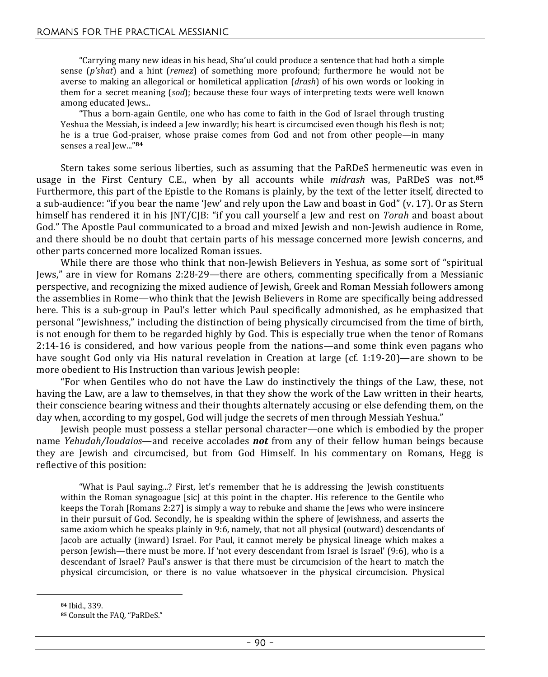"Carrying many new ideas in his head, Sha'ul could produce a sentence that had both a simple sense (*p'shat*) and a hint (*remez*) of something more profound; furthermore he would not be averse to making an allegorical or homiletical application (*drash*) of his own words or looking in them for a secret meaning (*sod*); because these four ways of interpreting texts were well known among educated Jews...

"Thus a born-again Gentile, one who has come to faith in the God of Israel through trusting Yeshua the Messiah, is indeed a Jew inwardly; his heart is circumcised even though his flesh is not; he is a true God-praiser, whose praise comes from God and not from other people—in many senses a real Jew..."**<sup>84</sup>**

Stern takes some serious liberties, such as assuming that the PaRDeS hermeneutic was even in usage in the First Century C.E., when by all accounts while *midrash* was, PaRDeS was not.**<sup>85</sup>** Furthermore, this part of the Epistle to the Romans is plainly, by the text of the letter itself, directed to a sub-audience: "if you bear the name 'Jew' and rely upon the Law and boast in God" (v. 17). Or as Stern himself has rendered it in his JNT/CJB: "if you call yourself a Jew and rest on *Torah* and boast about God." The Apostle Paul communicated to a broad and mixed Jewish and non-Jewish audience in Rome, and there should be no doubt that certain parts of his message concerned more Jewish concerns, and other parts concerned more localized Roman issues.

While there are those who think that non-Jewish Believers in Yeshua, as some sort of "spiritual Jews," are in view for Romans 2:28-29—there are others, commenting specifically from a Messianic perspective, and recognizing the mixed audience of Jewish, Greek and Roman Messiah followers among the assemblies in Rome—who think that the Jewish Believers in Rome are specifically being addressed here. This is a sub-group in Paul's letter which Paul specifically admonished, as he emphasized that personal "Jewishness," including the distinction of being physically circumcised from the time of birth, is not enough for them to be regarded highly by God. This is especially true when the tenor of Romans 2:14-16 is considered, and how various people from the nations—and some think even pagans who have sought God only via His natural revelation in Creation at large (cf. 1:19-20)—are shown to be more obedient to His Instruction than various Jewish people:

"For when Gentiles who do not have the Law do instinctively the things of the Law, these, not having the Law, are a law to themselves, in that they show the work of the Law written in their hearts, their conscience bearing witness and their thoughts alternately accusing or else defending them, on the day when, according to my gospel, God will judge the secrets of men through Messiah Yeshua."

Jewish people must possess a stellar personal character—one which is embodied by the proper name *Yehudah/Ioudaios*—and receive accolades *not* from any of their fellow human beings because they are Jewish and circumcised, but from God Himself. In his commentary on Romans, Hegg is reflective of this position:

"What is Paul saying...? First, let's remember that he is addressing the Jewish constituents within the Roman synagoague [sic] at this point in the chapter. His reference to the Gentile who keeps the Torah [Romans 2:27] is simply a way to rebuke and shame the Jews who were insincere in their pursuit of God. Secondly, he is speaking within the sphere of Jewishness, and asserts the same axiom which he speaks plainly in 9:6, namely, that not all physical (outward) descendants of Jacob are actually (inward) Israel. For Paul, it cannot merely be physical lineage which makes a person Jewish—there must be more. If 'not every descendant from Israel is Israel' (9:6), who is a descendant of Israel? Paul's answer is that there must be circumcision of the heart to match the physical circumcision, or there is no value whatsoever in the physical circumcision. Physical

**<sup>84</sup>** Ibid., 339.

**<sup>85</sup>** Consult the FAQ, "PaRDeS."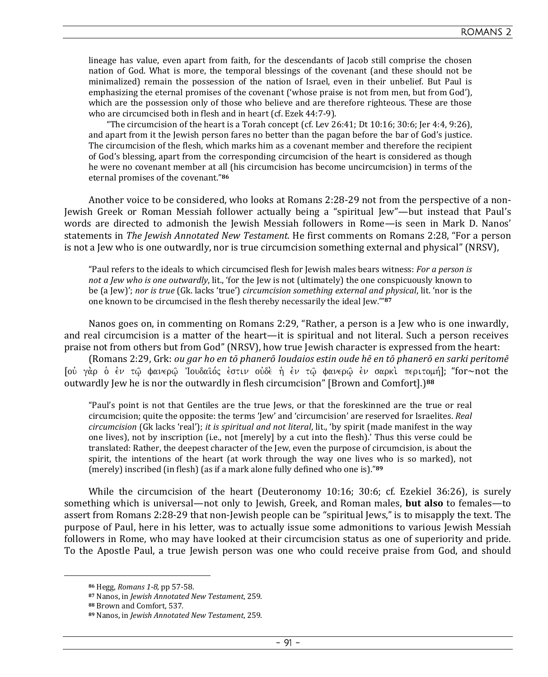lineage has value, even apart from faith, for the descendants of Jacob still comprise the chosen nation of God. What is more, the temporal blessings of the covenant (and these should not be minimalized) remain the possession of the nation of Israel, even in their unbelief. But Paul is emphasizing the eternal promises of the covenant ('whose praise is not from men, but from God'), which are the possession only of those who believe and are therefore righteous. These are those who are circumcised both in flesh and in heart (cf. Ezek 44:7-9).

"The circumcision of the heart is a Torah concept (cf. Lev 26:41; Dt 10:16; 30:6; Jer 4:4, 9:26), and apart from it the Jewish person fares no better than the pagan before the bar of God's justice. The circumcision of the flesh, which marks him as a covenant member and therefore the recipient of God's blessing, apart from the corresponding circumcision of the heart is considered as though he were no covenant member at all (his circumcision has become uncircumcision) in terms of the eternal promises of the covenant."**<sup>86</sup>**

Another voice to be considered, who looks at Romans 2:28-29 not from the perspective of a non-Jewish Greek or Roman Messiah follower actually being a "spiritual Jew"—but instead that Paul's words are directed to admonish the Jewish Messiah followers in Rome—is seen in Mark D. Nanos' statements in *The Jewish Annotated New Testament.* He first comments on Romans 2:28, "For a person is not a Jew who is one outwardly, nor is true circumcision something external and physical" (NRSV),

"Paul refers to the ideals to which circumcised flesh for Jewish males bears witness: *For a person is not a Jew who is one outwardly*, lit., 'for the Jew is not (ultimately) the one conspicuously known to be (a Jew)'; *nor is true* (Gk. lacks 'true') *circumcision something external and physical*, lit. 'nor is the one known to be circumcised in the flesh thereby necessarily the ideal Jew.'"**<sup>87</sup>**

Nanos goes on, in commenting on Romans 2:29, "Rather, a person is a Jew who is one inwardly, and real circumcision is a matter of the heart—it is spiritual and not literal. Such a person receives praise not from others but from God" (NRSV), how true Jewish character is expressed from the heart:

(Romans 2:29, Grk: *ou gar ho en tō phanerō Ioudaios estin oude hē en tō phanerō en sarki peritomē* [οὐ γὰρ ὁ ἐν τῷ φανερῷ Ἰουδαῖός ἐστιν οὐδὲ ἡ ἐν τῷ φανερῷ ἐν σαρκὶ περιτομή]; "for∼not the outwardly Jew he is nor the outwardly in flesh circumcision" [Brown and Comfort].)**<sup>88</sup>**

"Paul's point is not that Gentiles are the true Jews, or that the foreskinned are the true or real circumcision; quite the opposite: the terms 'Jew' and 'circumcision' are reserved for Israelites. *Real circumcision* (Gk lacks 'real'); *it is spiritual and not literal*, lit., 'by spirit (made manifest in the way one lives), not by inscription (i.e., not [merely] by a cut into the flesh).' Thus this verse could be translated: Rather, the deepest character of the Jew, even the purpose of circumcision, is about the spirit, the intentions of the heart (at work through the way one lives who is so marked), not (merely) inscribed (in flesh) (as if a mark alone fully defined who one is)."**<sup>89</sup>**

While the circumcision of the heart (Deuteronomy 10:16; 30:6; cf. Ezekiel 36:26), is surely something which is universal—not only to Jewish, Greek, and Roman males, **but also** to females—to assert from Romans 2:28-29 that non-Jewish people can be "spiritual Jews," is to misapply the text. The purpose of Paul, here in his letter, was to actually issue some admonitions to various Jewish Messiah followers in Rome, who may have looked at their circumcision status as one of superiority and pride. To the Apostle Paul, a true Jewish person was one who could receive praise from God, and should

**<sup>86</sup>** Hegg, *Romans 1-8*, pp 57-58.

**<sup>87</sup>** Nanos, in *Jewish Annotated New Testament*, 259.

**<sup>88</sup>** Brown and Comfort, 537.

**<sup>89</sup>** Nanos, in *Jewish Annotated New Testament*, 259.